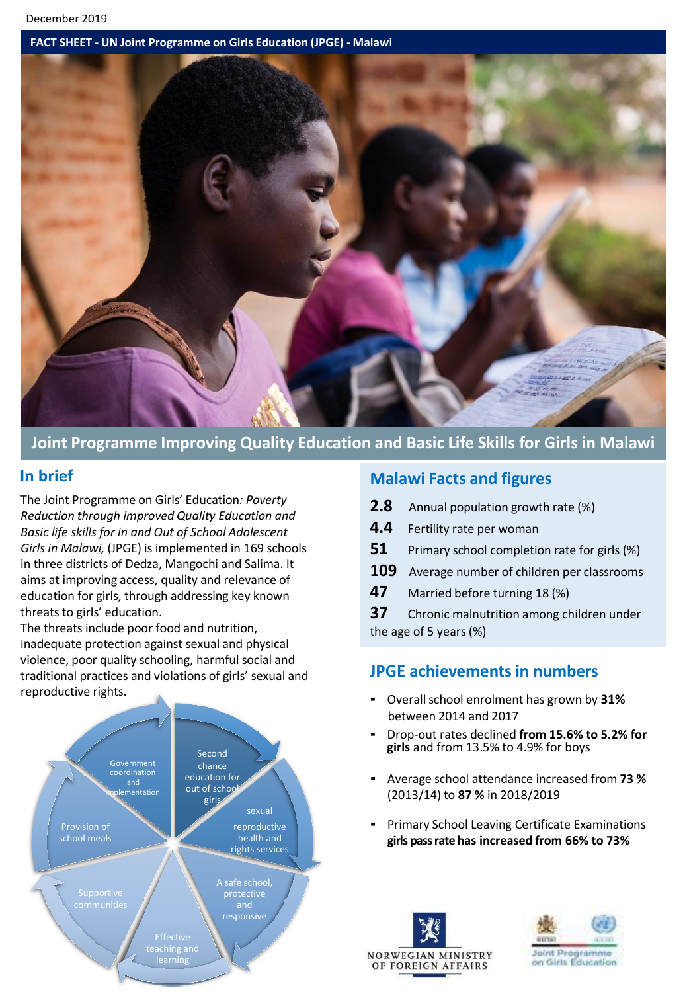#### **FACT SHEET - UN Joint Programme on Girls Education (JPGE) - Malawi**



## **Joint Programme Improving Quality Education and Basic Life Skills for Girls in Malawi**

### **In brief**

The Joint Programme on Girls' Education*: Poverty Reduction through improved Quality Education and Basic life skills for in and Out of School Adolescent Girls in Malawi,* (JPGE) is implemented in 169 schools in three districts of Dedza, Mangochi and Salima. It aims at improving access, quality and relevance of education for girls, through addressing key known threats to girls' education.

The threats include poor food and nutrition, inadequate protection against sexual and physical violence, poor quality schooling, harmful social and traditional practices and violations of girls' sexual and reproductive rights.



### **Malawi Facts and figures**

- **2.8** Annual population growth rate (%)
- **4.4** Fertility rate per woman
- **51** Primary school completion rate for girls (%)
- **109** Average number of children per classrooms
- **47** Married before turning 18 (%)

**37** Chronic malnutrition among children under the age of 5 years(%)

## **JPGE achievementsin numbers**

- **•** Overall school enrolment has grown by 31% between 2014 and 2017
- Drop-out rates declined **from 15.6% to 5.2% for girls** and from 13.5% to 4.9% for boys
- Average school attendance increased from **73 %** (2013/14) to **87 %** in 2018/2019
- Primary School Leaving Certificate Examinations **girls pass rate has increased from 66% to 73%**